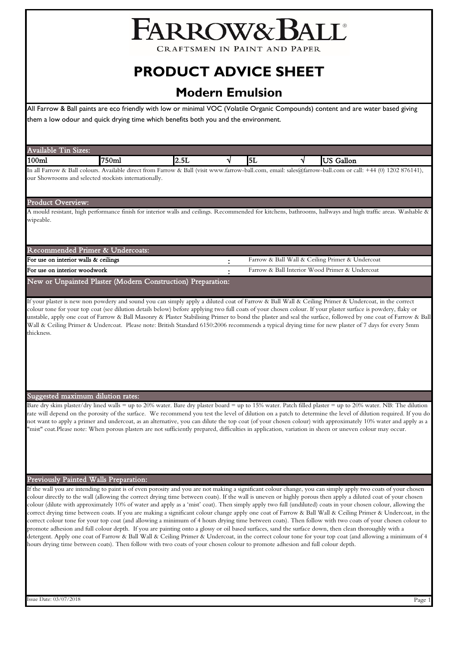| FARROW& BALL®<br><b>CRAFTSMEN IN PAINT AND PAPER</b>                                                                                                                                                                                                                                                                                                                                                                                                                                                                                                                                                                                                                                                                                                                                                                                                                                                                                                                                                                                                                                                                                                                                                                                                                        |  |  |  |  |                                                 |        |                                                                                                                                                                                         |      |  |    |  |                  |  |
|-----------------------------------------------------------------------------------------------------------------------------------------------------------------------------------------------------------------------------------------------------------------------------------------------------------------------------------------------------------------------------------------------------------------------------------------------------------------------------------------------------------------------------------------------------------------------------------------------------------------------------------------------------------------------------------------------------------------------------------------------------------------------------------------------------------------------------------------------------------------------------------------------------------------------------------------------------------------------------------------------------------------------------------------------------------------------------------------------------------------------------------------------------------------------------------------------------------------------------------------------------------------------------|--|--|--|--|-------------------------------------------------|--------|-----------------------------------------------------------------------------------------------------------------------------------------------------------------------------------------|------|--|----|--|------------------|--|
| <b>PRODUCT ADVICE SHEET</b><br><b>Modern Emulsion</b><br>All Farrow & Ball paints are eco friendly with low or minimal VOC (Volatile Organic Compounds) content and are water based giving<br>them a low odour and quick drying time which benefits both you and the environment.                                                                                                                                                                                                                                                                                                                                                                                                                                                                                                                                                                                                                                                                                                                                                                                                                                                                                                                                                                                           |  |  |  |  |                                                 |        |                                                                                                                                                                                         |      |  |    |  |                  |  |
|                                                                                                                                                                                                                                                                                                                                                                                                                                                                                                                                                                                                                                                                                                                                                                                                                                                                                                                                                                                                                                                                                                                                                                                                                                                                             |  |  |  |  |                                                 |        | <b>Available Tin Sizes:</b>                                                                                                                                                             |      |  |    |  |                  |  |
|                                                                                                                                                                                                                                                                                                                                                                                                                                                                                                                                                                                                                                                                                                                                                                                                                                                                                                                                                                                                                                                                                                                                                                                                                                                                             |  |  |  |  |                                                 |        | 100 <sub>ml</sub><br>750ml<br>In all Farrow & Ball colours. Available direct from Farrow & Ball (visit www.farrow-ball.com, email: sales@farrow-ball.com or call: +44 (0) 1202 876141), | 2.5L |  | 5L |  | <b>US</b> Gallon |  |
| our Showrooms and selected stockists internationally.                                                                                                                                                                                                                                                                                                                                                                                                                                                                                                                                                                                                                                                                                                                                                                                                                                                                                                                                                                                                                                                                                                                                                                                                                       |  |  |  |  |                                                 |        |                                                                                                                                                                                         |      |  |    |  |                  |  |
| Product Overview:                                                                                                                                                                                                                                                                                                                                                                                                                                                                                                                                                                                                                                                                                                                                                                                                                                                                                                                                                                                                                                                                                                                                                                                                                                                           |  |  |  |  |                                                 |        |                                                                                                                                                                                         |      |  |    |  |                  |  |
| A mould resistant, high performance finish for interior walls and ceilings. Recommended for kitchens, bathrooms, hallways and high traffic areas. Washable &                                                                                                                                                                                                                                                                                                                                                                                                                                                                                                                                                                                                                                                                                                                                                                                                                                                                                                                                                                                                                                                                                                                |  |  |  |  |                                                 |        |                                                                                                                                                                                         |      |  |    |  |                  |  |
| wipeable.                                                                                                                                                                                                                                                                                                                                                                                                                                                                                                                                                                                                                                                                                                                                                                                                                                                                                                                                                                                                                                                                                                                                                                                                                                                                   |  |  |  |  |                                                 |        |                                                                                                                                                                                         |      |  |    |  |                  |  |
|                                                                                                                                                                                                                                                                                                                                                                                                                                                                                                                                                                                                                                                                                                                                                                                                                                                                                                                                                                                                                                                                                                                                                                                                                                                                             |  |  |  |  |                                                 |        |                                                                                                                                                                                         |      |  |    |  |                  |  |
| Recommended Primer & Undercoats:<br>For use on interior walls & ceilings                                                                                                                                                                                                                                                                                                                                                                                                                                                                                                                                                                                                                                                                                                                                                                                                                                                                                                                                                                                                                                                                                                                                                                                                    |  |  |  |  | Farrow & Ball Wall & Ceiling Primer & Undercoat |        |                                                                                                                                                                                         |      |  |    |  |                  |  |
| For use on interior woodwork                                                                                                                                                                                                                                                                                                                                                                                                                                                                                                                                                                                                                                                                                                                                                                                                                                                                                                                                                                                                                                                                                                                                                                                                                                                |  |  |  |  | Farrow & Ball Interior Wood Primer & Undercoat  |        |                                                                                                                                                                                         |      |  |    |  |                  |  |
| New or Unpainted Plaster (Modern Construction) Preparation:                                                                                                                                                                                                                                                                                                                                                                                                                                                                                                                                                                                                                                                                                                                                                                                                                                                                                                                                                                                                                                                                                                                                                                                                                 |  |  |  |  |                                                 |        |                                                                                                                                                                                         |      |  |    |  |                  |  |
| If your plaster is new non powdery and sound you can simply apply a diluted coat of Farrow & Ball Wall & Ceiling Primer & Undercoat, in the correct<br>colour tone for your top coat (see dilution details below) before applying two full coats of your chosen colour. If your plaster surface is powdery, flaky or<br>unstable, apply one coat of Farrow & Ball Masonry & Plaster Stabilising Primer to bond the plaster and seal the surface, followed by one coat of Farrow & Ball<br>Wall & Ceiling Primer & Undercoat. Please note: British Standard 6150:2006 recommends a typical drying time for new plaster of 7 days for every 5mm<br>thickness.                                                                                                                                                                                                                                                                                                                                                                                                                                                                                                                                                                                                                 |  |  |  |  |                                                 |        |                                                                                                                                                                                         |      |  |    |  |                  |  |
|                                                                                                                                                                                                                                                                                                                                                                                                                                                                                                                                                                                                                                                                                                                                                                                                                                                                                                                                                                                                                                                                                                                                                                                                                                                                             |  |  |  |  |                                                 |        |                                                                                                                                                                                         |      |  |    |  |                  |  |
|                                                                                                                                                                                                                                                                                                                                                                                                                                                                                                                                                                                                                                                                                                                                                                                                                                                                                                                                                                                                                                                                                                                                                                                                                                                                             |  |  |  |  |                                                 |        |                                                                                                                                                                                         |      |  |    |  |                  |  |
| Suggested maximum dilution rates:                                                                                                                                                                                                                                                                                                                                                                                                                                                                                                                                                                                                                                                                                                                                                                                                                                                                                                                                                                                                                                                                                                                                                                                                                                           |  |  |  |  |                                                 |        |                                                                                                                                                                                         |      |  |    |  |                  |  |
| Bare dry skim plaster/dry lined walls = up to 20% water. Bare dry plaster board = up to 15% water. Patch filled plaster = up to 20% water. NB: The dilution<br>rate will depend on the porosity of the surface. We recommend you test the level of dilution on a patch to determine the level of dilution required. If you do<br>not want to apply a primer and undercoat, as an alternative, you can dilute the top coat (of your chosen colour) with approximately 10% water and apply as a<br>"mist" coat.Please note: When porous plasters are not sufficiently prepared, difficulties in application, variation in sheen or uneven colour may occur.                                                                                                                                                                                                                                                                                                                                                                                                                                                                                                                                                                                                                   |  |  |  |  |                                                 |        |                                                                                                                                                                                         |      |  |    |  |                  |  |
|                                                                                                                                                                                                                                                                                                                                                                                                                                                                                                                                                                                                                                                                                                                                                                                                                                                                                                                                                                                                                                                                                                                                                                                                                                                                             |  |  |  |  |                                                 |        |                                                                                                                                                                                         |      |  |    |  |                  |  |
| Previously Painted Walls Preparation:                                                                                                                                                                                                                                                                                                                                                                                                                                                                                                                                                                                                                                                                                                                                                                                                                                                                                                                                                                                                                                                                                                                                                                                                                                       |  |  |  |  |                                                 |        |                                                                                                                                                                                         |      |  |    |  |                  |  |
| If the wall you are intending to paint is of even porosity and you are not making a significant colour change, you can simply apply two coats of your chosen<br>colour directly to the wall (allowing the correct drying time between coats). If the wall is uneven or highly porous then apply a diluted coat of your chosen<br>colour (dilute with approximately 10% of water and apply as a 'mist' coat). Then simply apply two full (undiluted) coats in your chosen colour, allowing the<br>correct drying time between coats. If you are making a significant colour change apply one coat of Farrow & Ball Wall & Ceiling Primer & Undercoat, in the<br>correct colour tone for your top coat (and allowing a minimum of 4 hours drying time between coats). Then follow with two coats of your chosen colour to<br>promote adhesion and full colour depth. If you are painting onto a glossy or oil based surfaces, sand the surface down, then clean thoroughly with a<br>detergent. Apply one coat of Farrow & Ball Wall & Ceiling Primer & Undercoat, in the correct colour tone for your top coat (and allowing a minimum of 4<br>hours drying time between coats). Then follow with two coats of your chosen colour to promote adhesion and full colour depth. |  |  |  |  |                                                 |        |                                                                                                                                                                                         |      |  |    |  |                  |  |
|                                                                                                                                                                                                                                                                                                                                                                                                                                                                                                                                                                                                                                                                                                                                                                                                                                                                                                                                                                                                                                                                                                                                                                                                                                                                             |  |  |  |  |                                                 |        |                                                                                                                                                                                         |      |  |    |  |                  |  |
| Issue Date: 03/07/2018                                                                                                                                                                                                                                                                                                                                                                                                                                                                                                                                                                                                                                                                                                                                                                                                                                                                                                                                                                                                                                                                                                                                                                                                                                                      |  |  |  |  |                                                 | Page 1 |                                                                                                                                                                                         |      |  |    |  |                  |  |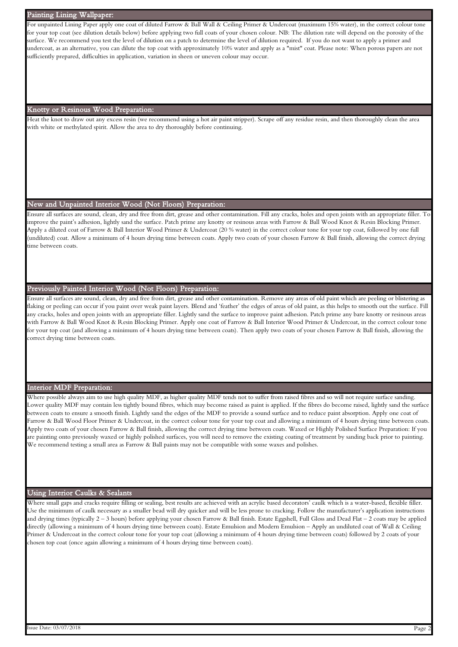### Painting Lining Wallpaper:

For unpainted Lining Paper apply one coat of diluted Farrow & Ball Wall & Ceiling Primer & Undercoat (maximum 15% water), in the correct colour tone for your top coat (see dilution details below) before applying two full coats of your chosen colour. NB: The dilution rate will depend on the porosity of the surface. We recommend you test the level of dilution on a patch to determine the level of dilution required. If you do not want to apply a primer and undercoat, as an alternative, you can dilute the top coat with approximately 10% water and apply as a "mist" coat. Please note: When porous papers are not sufficiently prepared, difficulties in application, variation in sheen or uneven colour may occur.

#### Knotty or Resinous Wood Preparation:

Heat the knot to draw out any excess resin (we recommend using a hot air paint stripper). Scrape off any residue resin, and then thoroughly clean the area with white or methylated spirit. Allow the area to dry thoroughly before continuing.

#### New and Unpainted Interior Wood (Not Floors) Preparation:

Ensure all surfaces are sound, clean, dry and free from dirt, grease and other contamination. Fill any cracks, holes and open joints with an appropriate filler. To improve the paint's adhesion, lightly sand the surface. Patch prime any knotty or resinous areas with Farrow & Ball Wood Knot & Resin Blocking Primer. Apply a diluted coat of Farrow & Ball Interior Wood Primer & Undercoat (20 % water) in the correct colour tone for your top coat, followed by one full (undiluted) coat. Allow a minimum of 4 hours drying time between coats. Apply two coats of your chosen Farrow & Ball finish, allowing the correct drying time between coats.

# Previously Painted Interior Wood (Not Floors) Preparation:

Ensure all surfaces are sound, clean, dry and free from dirt, grease and other contamination. Remove any areas of old paint which are peeling or blistering as flaking or peeling can occur if you paint over weak paint layers. Blend and 'feather' the edges of areas of old paint, as this helps to smooth out the surface. Fill any cracks, holes and open joints with an appropriate filler. Lightly sand the surface to improve paint adhesion. Patch prime any bare knotty or resinous areas with Farrow & Ball Wood Knot & Resin Blocking Primer. Apply one coat of Farrow & Ball Interior Wood Primer & Undercoat, in the correct colour tone for your top coat (and allowing a minimum of 4 hours drying time between coats). Then apply two coats of your chosen Farrow & Ball finish, allowing the correct drying time between coats.

### Interior MDF Preparation:

Where possible always aim to use high quality MDF, as higher quality MDF tends not to suffer from raised fibres and so will not require surface sanding. Lower quality MDF may contain less tightly bound fibres, which may become raised as paint is applied. If the fibres do become raised, lightly sand the surface between coats to ensure a smooth finish. Lightly sand the edges of the MDF to provide a sound surface and to reduce paint absorption. Apply one coat of Farrow & Ball Wood Floor Primer & Undercoat, in the correct colour tone for your top coat and allowing a minimum of 4 hours drying time between coats. Apply two coats of your chosen Farrow & Ball finish, allowing the correct drying time between coats. Waxed or Highly Polished Surface Preparation: If you are painting onto previously waxed or highly polished surfaces, you will need to remove the existing coating of treatment by sanding back prior to painting. We recommend testing a small area as Farrow & Ball paints may not be compatible with some waxes and polishes.

#### Using Interior Caulks & Sealants

Where small gaps and cracks require filling or sealing, best results are achieved with an acrylic based decorators' caulk which is a water-based, flexible filler Use the minimum of caulk necessary as a smaller bead will dry quicker and will be less prone to cracking. Follow the manufacturer's application instructions and drying times (typically  $2-3$  hours) before applying your chosen Farrow & Ball finish. Estate Eggshell, Full Gloss and Dead Flat – 2 coats may be applied directly (allowing a minimum of 4 hours drying time between coats). Estate Emulsion and Modern Emulsion – Apply an undiluted coat of Wall & Ceiling Primer & Undercoat in the correct colour tone for your top coat (allowing a minimum of 4 hours drying time between coats) followed by 2 coats of your chosen top coat (once again allowing a minimum of 4 hours drying time between coats).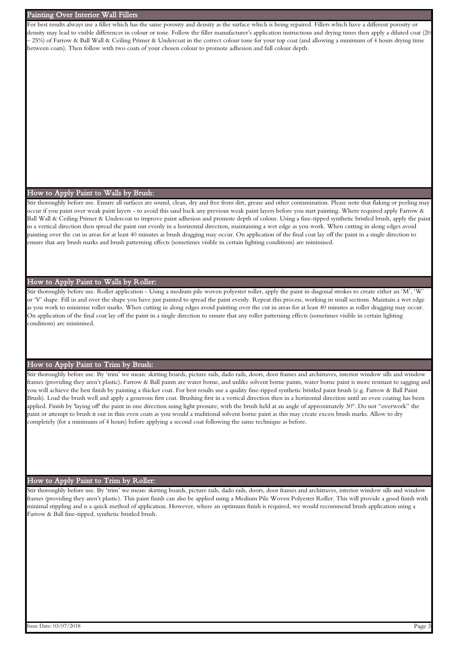### Painting Over Interior Wall Fillers

For best results always use a filler which has the same porosity and density as the surface which is being repaired. Fillers which have a different porosity or density may lead to visible differences in colour or tone. Follow the filler manufacturer's application instructions and drying times then apply a diluted coat (20 – 25%) of Farrow & Ball Wall & Ceiling Primer & Undercoat in the correct colour tone for your top coat (and allowing a minimum of 4 hours drying time between coats). Then follow with two coats of your chosen colour to promote adhesion and full colour depth.

#### How to Apply Paint to Walls by Brush:

Stir thoroughly before use. Ensure all surfaces are sound, clean, dry and free from dirt, grease and other contamination. Please note that flaking or peeling may occur if you paint over weak paint layers - to avoid this sand back any previous weak paint layers before you start painting. Where required apply Farrow & Ball Wall & Ceiling Primer & Undercoat to improve paint adhesion and promote depth of colour. Using a fine-tipped synthetic bristled brush, apply the paint in a vertical direction then spread the paint out evenly in a horizontal direction, maintaining a wet edge as you work. When cutting in along edges avoid painting over the cut in areas for at least 40 minutes as brush dragging may occur. On application of the final coat lay off the paint in a single direction to ensure that any brush marks and brush patterning effects (sometimes visible in certain lighting conditions) are minimised.

## How to Apply Paint to Walls by Roller:

Stir thoroughly before use. Roller application - Using a medium pile woven polyester roller, apply the paint in diagonal strokes to create either an 'M', 'W' or 'V' shape. Fill in and over the shape you have just painted to spread the paint evenly. Repeat this process, working in small sections. Maintain a wet edge as you work to minimise roller marks. When cutting in along edges avoid painting over the cut in areas for at least 40 minutes as roller dragging may occur. On application of the final coat lay off the paint in a single direction to ensure that any roller patterning effects (sometimes visible in certain lighting conditions) are minimised.

## How to Apply Paint to Trim by Brush:

Stir thoroughly before use. By 'trim' we mean: skirting boards, picture rails, dado rails, doors, door frames and architraves, interior window sills and window frames (providing they aren't plastic). Farrow & Ball paints are water borne, and unlike solvent borne paints, water borne paint is more resistant to sagging and you will achieve the best finish by painting a thicker coat. For best results use a quality fine-tipped synthetic bristled paint brush (e.g. Farrow & Ball Paint Brush). Load the brush well and apply a generous first coat. Brushing first in a vertical direction then in a horizontal direction until an even coating has been applied. Finish by 'laying off' the paint in one direction using light pressure, with the brush held at an angle of approximately 30°. Do not "overwork" the paint or attempt to brush it out in thin even coats as you would a traditional solvent borne paint as this may create excess brush marks. Allow to dry completely (for a minimum of 4 hours) before applying a second coat following the same technique as before.

## How to Apply Paint to Trim by Roller:

Stir thoroughly before use. By 'trim' we mean: skirting boards, picture rails, dado rails, doors, door frames and architraves, interior window sills and window frames (providing they aren't plastic). This paint finish can also be applied using a Medium Pile Woven Polyester Roller. This will provide a good finish with minimal stippling and is a quick method of application. However, where an optimum finish is required, we would recommend brush application using a Farrow & Ball fine-tipped, synthetic bristled brush.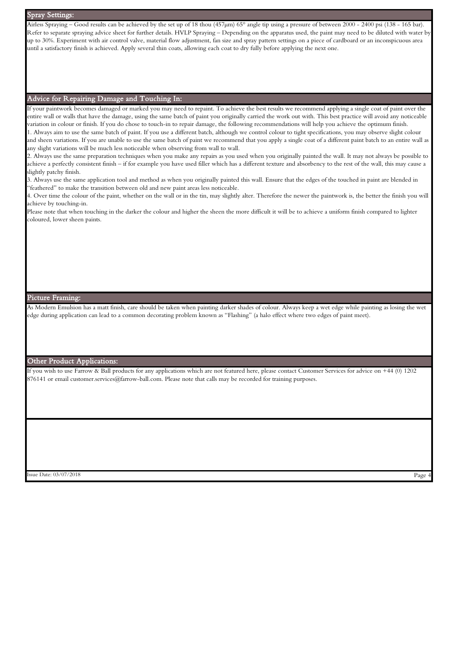Spray Settings:

Airless Spraying – Good results can be achieved by the set up of 18 thou (457µm) 65° angle tip using a pressure of between 2000 - 2400 psi (138 - 165 bar). Refer to separate spraying advice sheet for further details. HVLP Spraying – Depending on the apparatus used, the paint may need to be diluted with water by up to 30%. Experiment with air control valve, material flow adjustment, fan size and spray pattern settings on a piece of cardboard or an inconspicuous area until a satisfactory finish is achieved. Apply several thin coats, allowing each coat to dry fully before applying the next one.

### Advice for Repairing Damage and Touching In:

If your paintwork becomes damaged or marked you may need to repaint. To achieve the best results we recommend applying a single coat of paint over the entire wall or walls that have the damage, using the same batch of paint you originally carried the work out with. This best practice will avoid any noticeable variation in colour or finish. If you do chose to touch-in to repair damage, the following recommendations will help you achieve the optimum finish.

1. Always aim to use the same batch of paint. If you use a different batch, although we control colour to tight specifications, you may observe slight colour and sheen variations. If you are unable to use the same batch of paint we recommend that you apply a single coat of a different paint batch to an entire wall as any slight variations will be much less noticeable when observing from wall to wall.

2. Always use the same preparation techniques when you make any repairs as you used when you originally painted the wall. It may not always be possible to achieve a perfectly consistent finish – if for example you have used filler which has a different texture and absorbency to the rest of the wall, this may cause a slightly patchy finish.

3. Always use the same application tool and method as when you originally painted this wall. Ensure that the edges of the touched in paint are blended in "feathered" to make the transition between old and new paint areas less noticeable.

4. Over time the colour of the paint, whether on the wall or in the tin, may slightly alter. Therefore the newer the paintwork is, the better the finish you will achieve by touching-in.

Please note that when touching in the darker the colour and higher the sheen the more difficult it will be to achieve a uniform finish compared to lighter coloured, lower sheen paints.

Picture Framing:

As Modern Emulsion has a matt finish, care should be taken when painting darker shades of colour. Always keep a wet edge while painting as losing the wet edge during application can lead to a common decorating problem known as "Flashing" (a halo effect where two edges of paint meet).

## Other Product Applications:

If you wish to use Farrow & Ball products for any applications which are not featured here, please contact Customer Services for advice on +44 (0) 1202 876141 or email customer.services@farrow-ball.com. Please note that calls may be recorded for training purposes.

Sue Date: 03/07/2018 Page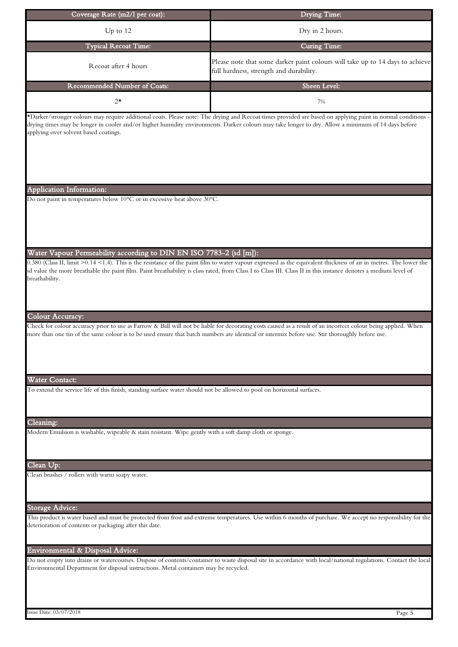| Coverage Rate (m2/l per coat):                                                                                                                 | <b>Drying Time:</b>                                                                                                                                                                                                                                                                                                                   |
|------------------------------------------------------------------------------------------------------------------------------------------------|---------------------------------------------------------------------------------------------------------------------------------------------------------------------------------------------------------------------------------------------------------------------------------------------------------------------------------------|
| Up to 12                                                                                                                                       | Dry in 2 hours.                                                                                                                                                                                                                                                                                                                       |
| <b>Typical Recoat Time:</b>                                                                                                                    | Curing Time:                                                                                                                                                                                                                                                                                                                          |
| Recoat after 4 hours                                                                                                                           | Please note that some darker paint colours will take up to 14 days to achieve<br>full hardness, strength and durability.                                                                                                                                                                                                              |
| Recommended Number of Coats:                                                                                                                   | Sheen Level:                                                                                                                                                                                                                                                                                                                          |
| $2^{\star}$                                                                                                                                    | 7%                                                                                                                                                                                                                                                                                                                                    |
| applying over solvent based coatings.                                                                                                          | *Darker/stronger colours may require additional coats. Please note: The drying and Recoat times provided are based on applying paint in normal conditions -<br>drying times may be longer in cooler and/or higher humidity environments. Darker colours may take longer to dry. Allow a minimum of 14 days before                     |
| <b>Application Information:</b>                                                                                                                |                                                                                                                                                                                                                                                                                                                                       |
| Do not paint in temperatures below 10°C or in excessive heat above 30°C.                                                                       |                                                                                                                                                                                                                                                                                                                                       |
| Water Vapour Permeability according to DIN EN ISO 7783-2 (sd [m]):                                                                             |                                                                                                                                                                                                                                                                                                                                       |
| breathability.                                                                                                                                 | 0.380 (Class II, limit >0.14 <1.4). This is the resistance of the paint film to water vapour expressed as the equivalent thickness of air in metres. The lower the<br>sd value the more breathable the paint film. Paint breathability is class rated, from Class I to Class III. Class II in this instance denotes a medium level of |
| Colour Accuracy:                                                                                                                               |                                                                                                                                                                                                                                                                                                                                       |
| more than one tin of the same colour is to be used ensure that batch numbers are identical or intermix before use. Stir thoroughly before use. | Check for colour accuracy prior to use as Farrow & Ball will not be liable for decorating costs caused as a result of an incorrect colour being applied. When                                                                                                                                                                         |
| Water Contact:<br>To extend the service life of this finish, standing surface water should not be allowed to pool on horizontal surfaces.      |                                                                                                                                                                                                                                                                                                                                       |
|                                                                                                                                                |                                                                                                                                                                                                                                                                                                                                       |
| Cleaning:                                                                                                                                      |                                                                                                                                                                                                                                                                                                                                       |
| Modern Emulsion is washable, wipeable & stain resistant. Wipe gently with a soft damp cloth or sponge.                                         |                                                                                                                                                                                                                                                                                                                                       |
| Clean Up:                                                                                                                                      |                                                                                                                                                                                                                                                                                                                                       |
| Clean brushes / rollers with warm soapy water.                                                                                                 |                                                                                                                                                                                                                                                                                                                                       |
| Storage Advice:                                                                                                                                |                                                                                                                                                                                                                                                                                                                                       |
| deterioration of contents or packaging after this date.                                                                                        | This product is water based and must be protected from frost and extreme temperatures. Use within 6 months of purchase. We accept no responsibility for the                                                                                                                                                                           |
| Environmental & Disposal Advice:                                                                                                               |                                                                                                                                                                                                                                                                                                                                       |
| Environmental Department for disposal instructions. Metal containers may be recycled.                                                          | Do not empty into drains or watercourses. Dispose of contents/container to waste disposal site in accordance with local/national regulations. Contact the local                                                                                                                                                                       |